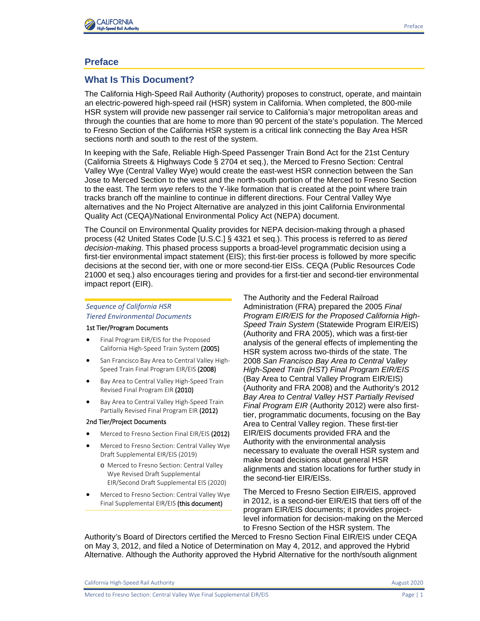

# **Preface**

# **What Is This Document?**

The California High-Speed Rail Authority (Authority) proposes to construct, operate, and maintain an electric-powered high-speed rail (HSR) system in California. When completed, the 800-mile HSR system will provide new passenger rail service to California's major metropolitan areas and through the counties that are home to more than 90 percent of the state's population. The Merced to Fresno Section of the California HSR system is a critical link connecting the Bay Area HSR sections north and south to the rest of the system.

In keeping with the Safe, Reliable High-Speed Passenger Train Bond Act for the 21st Century (California Streets & Highways Code § 2704 et seq.), the Merced to Fresno Section: Central Valley Wye (Central Valley Wye) would create the east-west HSR connection between the San Jose to Merced Section to the west and the north-south portion of the Merced to Fresno Section to the east. The term *wye* refers to the Y-like formation that is created at the point where train tracks branch off the mainline to continue in different directions. Four Central Valley Wye alternatives and the No Project Alternative are analyzed in this joint California Environmental Quality Act (CEQA)/National Environmental Policy Act (NEPA) document.

The Council on Environmental Quality provides for NEPA decision-making through a phased process (42 United States Code [U.S.C.] § 4321 et seq.). This process is referred to as *tiered decision-making*. This phased process supports a broad-level programmatic decision using a first-tier environmental impact statement (EIS); this first-tier process is followed by more specific decisions at the second tier, with one or more second-tier EISs. CEQA (Public Resources Code 21000 et seq.) also encourages tiering and provides for a first-tier and second-tier environmental impact report (EIR).

### *Sequence of California HSR Tiered Environmental Documents*

#### 1st Tier/Program Documents

- Final Program EIR/EIS for the Proposed California High-Speed Train System (2005)
- San Francisco Bay Area to Central Valley High-Speed Train Final Program EIR/EIS (2008)
- Bay Area to Central Valley High-Speed Train Revised Final Program EIR (2010)
- Bay Area to Central Valley High-Speed Train Partially Revised Final Program EIR (2012)

#### 2nd Tier/Project Documents

- Merced to Fresno Section Final EIR/EIS (2012)
- Merced to Fresno Section: Central Valley Wye Draft Supplemental EIR/EIS (2019)
	- o Merced to Fresno Section: Central Valley Wye Revised Draft Supplemental EIR/Second Draft Supplemental EIS (2020)
- Merced to Fresno Section: Central Valley Wye Final Supplemental EIR/EIS (this document)

The Authority and the Federal Railroad Administration (FRA) prepared the 2005 *Final Program EIR/EIS for the Proposed California High-Speed Train System* (Statewide Program EIR/EIS) (Authority and FRA 2005), which was a first-tier analysis of the general effects of implementing the HSR system across two-thirds of the state. The 2008 *San Francisco Bay Area to Central Valley High-Speed Train (HST) Final Program EIR/EIS* (Bay Area to Central Valley Program EIR/EIS) (Authority and FRA 2008) and the Authority's 2012 *Bay Area to Central Valley HST Partially Revised Final Program EIR* (Authority 2012) were also firsttier, programmatic documents, focusing on the Bay Area to Central Valley region. These first-tier EIR/EIS documents provided FRA and the Authority with the environmental analysis necessary to evaluate the overall HSR system and make broad decisions about general HSR alignments and station locations for further study in the second-tier EIR/EISs.

The Merced to Fresno Section EIR/EIS, approved in 2012, is a second-tier EIR/EIS that tiers off of the program EIR/EIS documents; it provides projectlevel information for decision-making on the Merced to Fresno Section of the HSR system. The

Authority's Board of Directors certified the Merced to Fresno Section Final EIR/EIS under CEQA on May 3, 2012, and filed a Notice of Determination on May 4, 2012, and approved the Hybrid Alternative. Although the Authority approved the Hybrid Alternative for the north/south alignment

California High-Speed Rail Authority **August 2020** 2020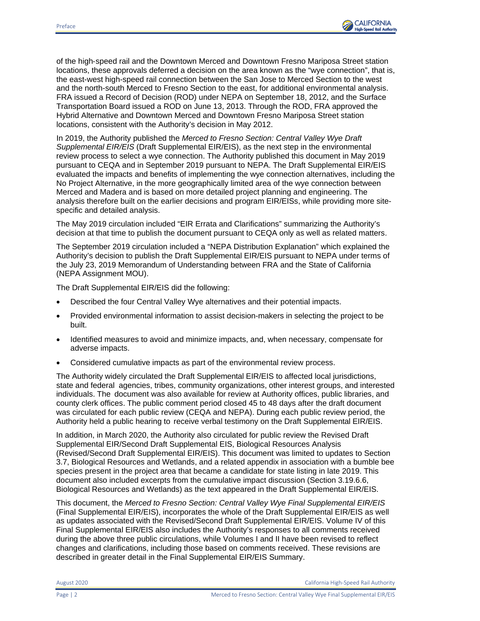

of the high‐speed rail and the Downtown Merced and Downtown Fresno Mariposa Street station locations, these approvals deferred a decision on the area known as the "wye connection", that is, the east-west high-speed rail connection between the San Jose to Merced Section to the west and the north-south Merced to Fresno Section to the east, for additional environmental analysis. FRA issued a Record of Decision (ROD) under NEPA on September 18, 2012, and the Surface Transportation Board issued a ROD on June 13, 2013. Through the ROD, FRA approved the Hybrid Alternative and Downtown Merced and Downtown Fresno Mariposa Street station locations, consistent with the Authority's decision in May 2012.

In 2019, the Authority published the *Merced to Fresno Section: Central Valley Wye Draft Supplemental EIR/EIS* (Draft Supplemental EIR/EIS), as the next step in the environmental review process to select a wye connection. The Authority published this document in May 2019 pursuant to CEQA and in September 2019 pursuant to NEPA. The Draft Supplemental EIR/EIS evaluated the impacts and benefits of implementing the wye connection alternatives, including the No Project Alternative, in the more geographically limited area of the wye connection between Merced and Madera and is based on more detailed project planning and engineering. The analysis therefore built on the earlier decisions and program EIR/EISs, while providing more sitespecific and detailed analysis.

The May 2019 circulation included "EIR Errata and Clarifications" summarizing the Authority's decision at that time to publish the document pursuant to CEQA only as well as related matters.

The September 2019 circulation included a "NEPA Distribution Explanation" which explained the Authority's decision to publish the Draft Supplemental EIR/EIS pursuant to NEPA under terms of the July 23, 2019 Memorandum of Understanding between FRA and the State of California (NEPA Assignment MOU).

The Draft Supplemental EIR/EIS did the following:

- Described the four Central Valley Wye alternatives and their potential impacts.
- Provided environmental information to assist decision-makers in selecting the project to be built.
- Identified measures to avoid and minimize impacts, and, when necessary, compensate for adverse impacts.
- Considered cumulative impacts as part of the environmental review process.

The Authority widely circulated the Draft Supplemental EIR/EIS to affected local jurisdictions, state and federal agencies, tribes, community organizations, other interest groups, and interested individuals. The document was also available for review at Authority offices, public libraries, and county clerk offices. The public comment period closed 45 to 48 days after the draft document was circulated for each public review (CEQA and NEPA). During each public review period, the Authority held a public hearing to receive verbal testimony on the Draft Supplemental EIR/EIS.

In addition, in March 2020, the Authority also circulated for public review the Revised Draft Supplemental EIR/Second Draft Supplemental EIS, Biological Resources Analysis (Revised/Second Draft Supplemental EIR/EIS). This document was limited to updates to Section 3.7, Biological Resources and Wetlands, and a related appendix in association with a bumble bee species present in the project area that became a candidate for state listing in late 2019. This document also included excerpts from the cumulative impact discussion (Section 3.19.6.6, Biological Resources and Wetlands) as the text appeared in the Draft Supplemental EIR/EIS.

This document, the *Merced to Fresno Section: Central Valley Wye Final Supplemental EIR/EIS* (Final Supplemental EIR/EIS), incorporates the whole of the Draft Supplemental EIR/EIS as well as updates associated with the Revised/Second Draft Supplemental EIR/EIS. Volume IV of this Final Supplemental EIR/EIS also includes the Authority's responses to all comments received during the above three public circulations, while Volumes I and II have been revised to reflect changes and clarifications, including those based on comments received. These revisions are described in greater detail in the Final Supplemental EIR/EIS Summary.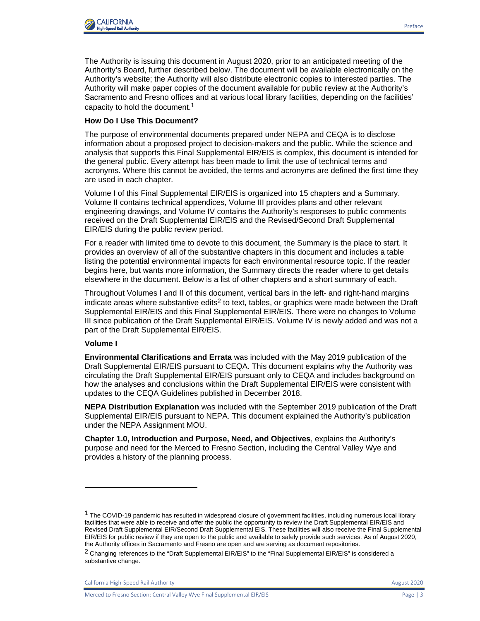

The Authority is issuing this document in August 2020, prior to an anticipated meeting of the Authority's Board, further described below. The document will be available electronically on the Authority's website; the Authority will also distribute electronic copies to interested parties. The Authority will make paper copies of the document available for public review at the Authority's Sacramento and Fresno offices and at various local library facilities, depending on the facilities' capacity to hold the document.<sup>1</sup>

## **How Do I Use This Document?**

The purpose of environmental documents prepared under NEPA and CEQA is to disclose information about a proposed project to decision-makers and the public. While the science and analysis that supports this Final Supplemental EIR/EIS is complex, this document is intended for the general public. Every attempt has been made to limit the use of technical terms and acronyms. Where this cannot be avoided, the terms and acronyms are defined the first time they are used in each chapter.

Volume I of this Final Supplemental EIR/EIS is organized into 15 chapters and a Summary. Volume II contains technical appendices, Volume III provides plans and other relevant engineering drawings, and Volume IV contains the Authority's responses to public comments received on the Draft Supplemental EIR/EIS and the Revised/Second Draft Supplemental EIR/EIS during the public review period.

For a reader with limited time to devote to this document, the Summary is the place to start. It provides an overview of all of the substantive chapters in this document and includes a table listing the potential environmental impacts for each environmental resource topic. If the reader begins here, but wants more information, the Summary directs the reader where to get details elsewhere in the document. Below is a list of other chapters and a short summary of each.

Throughout Volumes I and II of this document, vertical bars in the left- and right-hand margins indicate areas where substantive edits<sup>2</sup> to text, tables, or graphics were made between the Draft Supplemental EIR/EIS and this Final Supplemental EIR/EIS. There were no changes to Volume III since publication of the Draft Supplemental EIR/EIS. Volume IV is newly added and was not a part of the Draft Supplemental EIR/EIS.

## **Volume I**

**Environmental Clarifications and Errata** was included with the May 2019 publication of the Draft Supplemental EIR/EIS pursuant to CEQA. This document explains why the Authority was circulating the Draft Supplemental EIR/EIS pursuant only to CEQA and includes background on how the analyses and conclusions within the Draft Supplemental EIR/EIS were consistent with updates to the CEQA Guidelines published in December 2018.

**NEPA Distribution Explanation** was included with the September 2019 publication of the Draft Supplemental EIR/EIS pursuant to NEPA. This document explained the Authority's publication under the NEPA Assignment MOU.

**Chapter 1.0, Introduction and Purpose, Need, and Objectives**, explains the Authority's purpose and need for the Merced to Fresno Section, including the Central Valley Wye and provides a history of the planning process.

<sup>&</sup>lt;sup>1</sup> The COVID-19 pandemic has resulted in widespread closure of government facilities, including numerous local library facilities that were able to receive and offer the public the opportunity to review the Draft Supplemental EIR/EIS and Revised Draft Supplemental EIR/Second Draft Supplemental EIS. These facilities will also receive the Final Supplemental EIR/EIS for public review if they are open to the public and available to safely provide such services. As of August 2020, the Authority offices in Sacramento and Fresno are open and are serving as document repositories.

<sup>2</sup> Changing references to the "Draft Supplemental EIR/EIS" to the "Final Supplemental EIR/EIS" is considered a substantive change.

California High-Speed Rail Authority **August 2020** 2020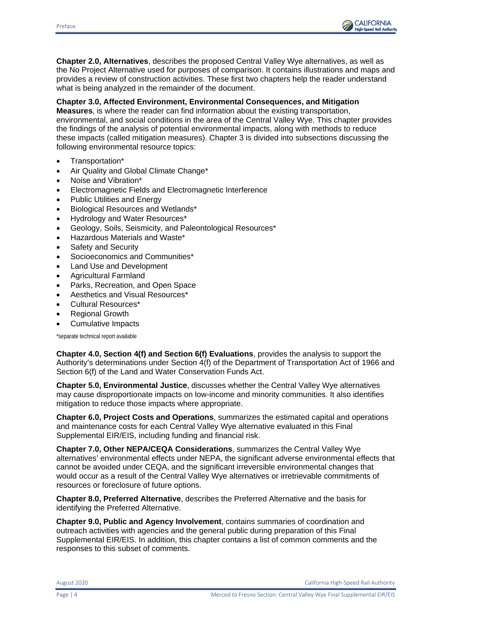

**Chapter 2.0, Alternatives**, describes the proposed Central Valley Wye alternatives, as well as the No Project Alternative used for purposes of comparison. It contains illustrations and maps and provides a review of construction activities. These first two chapters help the reader understand what is being analyzed in the remainder of the document.

# **Chapter 3.0, Affected Environment, Environmental Consequences, and Mitigation**

**Measures**, is where the reader can find information about the existing transportation, environmental, and social conditions in the area of the Central Valley Wye. This chapter provides the findings of the analysis of potential environmental impacts, along with methods to reduce these impacts (called mitigation measures). Chapter 3 is divided into subsections discussing the following environmental resource topics:

- Transportation\*
- Air Quality and Global Climate Change\*
- Noise and Vibration\*
- Electromagnetic Fields and Electromagnetic Interference
- Public Utilities and Energy
- Biological Resources and Wetlands\*
- Hydrology and Water Resources\*
- Geology, Soils, Seismicity, and Paleontological Resources\*
- Hazardous Materials and Waste\*
- Safety and Security
- Socioeconomics and Communities\*
- Land Use and Development
- Agricultural Farmland
- Parks, Recreation, and Open Space
- Aesthetics and Visual Resources\*
- Cultural Resources\*
- Regional Growth
- Cumulative Impacts

\*separate technical report available

**Chapter 4.0, Section 4(f) and Section 6(f) Evaluations**, provides the analysis to support the Authority's determinations under Section 4(f) of the Department of Transportation Act of 1966 and Section 6(f) of the Land and Water Conservation Funds Act.

**Chapter 5.0, Environmental Justice**, discusses whether the Central Valley Wye alternatives may cause disproportionate impacts on low-income and minority communities. It also identifies mitigation to reduce those impacts where appropriate.

**Chapter 6.0, Project Costs and Operations**, summarizes the estimated capital and operations and maintenance costs for each Central Valley Wye alternative evaluated in this Final Supplemental EIR/EIS, including funding and financial risk.

**Chapter 7.0, Other NEPA/CEQA Considerations**, summarizes the Central Valley Wye alternatives' environmental effects under NEPA, the significant adverse environmental effects that cannot be avoided under CEQA, and the significant irreversible environmental changes that would occur as a result of the Central Valley Wye alternatives or irretrievable commitments of resources or foreclosure of future options.

**Chapter 8.0, Preferred Alternative**, describes the Preferred Alternative and the basis for identifying the Preferred Alternative.

**Chapter 9.0, Public and Agency Involvement**, contains summaries of coordination and outreach activities with agencies and the general public during preparation of this Final Supplemental EIR/EIS. In addition, this chapter contains a list of common comments and the responses to this subset of comments.